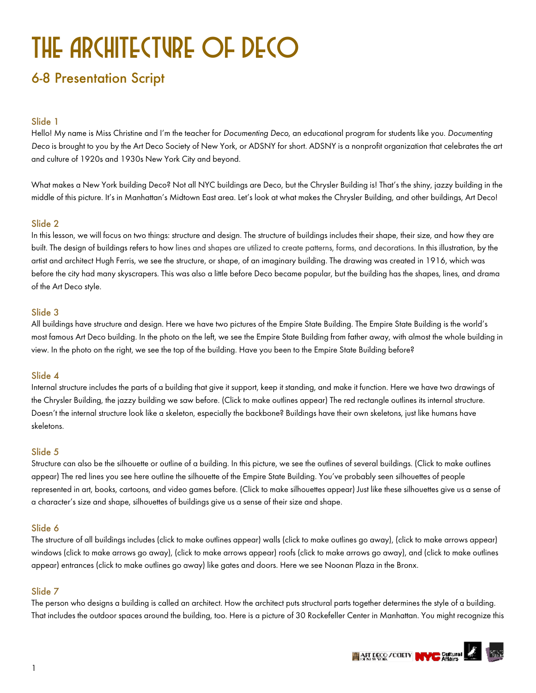# THE ARCHITECTURE OF DECO

# 6-8 Presentation Script

# Slide 1

Hello! My name is Miss Christine and I'm the teacher for *Documenting Deco*, an educational program for students like you. *Documenting Deco* is brought to you by the Art Deco Society of New York, or ADSNY for short. ADSNY is a nonprofit organization that celebrates the art and culture of 1920s and 1930s New York City and beyond.

What makes a New York building Deco? Not all NYC buildings are Deco, but the Chrysler Building is! That's the shiny, jazzy building in the middle of this picture. It's in Manhattan's Midtown East area. Let's look at what makes the Chrysler Building, and other buildings, Art Deco!

# Slide 2

In this lesson, we will focus on two things: structure and design. The structure of buildings includes their shape, their size, and how they are built. The design of buildings refers to how lines and shapes are utilized to create patterns, forms, and decorations. In this illustration, by the artist and architect Hugh Ferris, we see the structure, or shape, of an imaginary building. The drawing was created in 1916, which was before the city had many skyscrapers. This was also a little before Deco became popular, but the building has the shapes, lines, and drama of the Art Deco style.

# Slide 3

All buildings have structure and design. Here we have two pictures of the Empire State Building. The Empire State Building is the world's most famous Art Deco building. In the photo on the left, we see the Empire State Building from father away, with almost the whole building in view. In the photo on the right, we see the top of the building. Have you been to the Empire State Building before?

# Slide 4

Internal structure includes the parts of a building that give it support, keep it standing, and make it function. Here we have two drawings of the Chrysler Building, the jazzy building we saw before. (Click to make outlines appear) The red rectangle outlines its internal structure. Doesn't the internal structure look like a skeleton, especially the backbone? Buildings have their own skeletons, just like humans have skeletons.

#### Slide 5

Structure can also be the silhouette or outline of a building. In this picture, we see the outlines of several buildings. (Click to make outlines appear) The red lines you see here outline the silhouette of the Empire State Building. You've probably seen silhouettes of people represented in art, books, cartoons, and video games before. (Click to make silhouettes appear) Just like these silhouettes give us a sense of a character's size and shape, silhouettes of buildings give us a sense of their size and shape.

# Slide 6

The structure of all buildings includes (click to make outlines appear) walls (click to make outlines go away), (click to make arrows appear) windows (click to make arrows go away), (click to make arrows appear) roofs (click to make arrows go away), and (click to make outlines appear) entrances (click to make outlines go away) like gates and doors. Here we see Noonan Plaza in the Bronx.

# Slide 7

The person who designs a building is called an architect. How the architect puts structural parts together determines the style of a building. That includes the outdoor spaces around the building, too. Here is a picture of 30 Rockefeller Center in Manhattan. You might recognize this

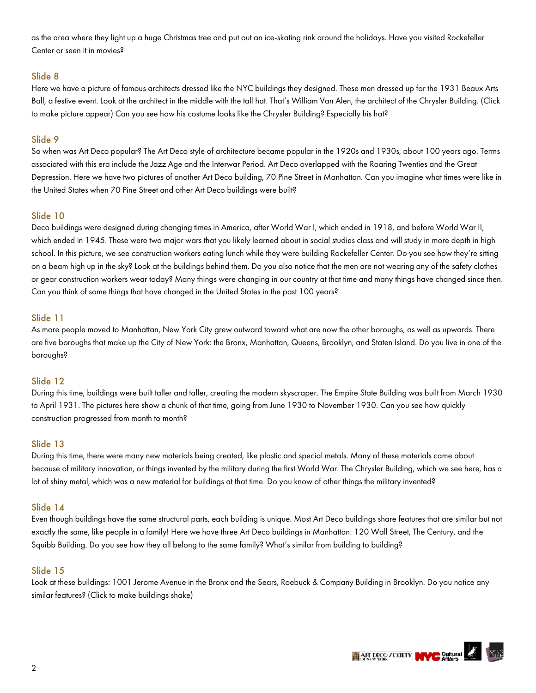as the area where they light up a huge Christmas tree and put out an ice-skating rink around the holidays. Have you visited Rockefeller Center or seen it in movies?

# Slide 8

Here we have a picture of famous architects dressed like the NYC buildings they designed. These men dressed up for the 1931 Beaux Arts Ball, a festive event. Look at the architect in the middle with the tall hat. That's William Van Alen, the architect of the Chrysler Building. (Click to make picture appear) Can you see how his costume looks like the Chrysler Building? Especially his hat?

# Slide 9

So when was Art Deco popular? The Art Deco style of architecture became popular in the 1920s and 1930s, about 100 years ago. Terms associated with this era include the Jazz Age and the Interwar Period. Art Deco overlapped with the Roaring Twenties and the Great Depression. Here we have two pictures of another Art Deco building, 70 Pine Street in Manhattan. Can you imagine what times were like in the United States when 70 Pine Street and other Art Deco buildings were built?

# Slide 10

Deco buildings were designed during changing times in America, after World War I, which ended in 1918, and before World War II, which ended in 1945. These were two major wars that you likely learned about in social studies class and will study in more depth in high school. In this picture, we see construction workers eating lunch while they were building Rockefeller Center. Do you see how they're sitting on a beam high up in the sky? Look at the buildings behind them. Do you also notice that the men are not wearing any of the safety clothes or gear construction workers wear today? Many things were changing in our country at that time and many things have changed since then. Can you think of some things that have changed in the United States in the past 100 years?

### Slide 11

As more people moved to Manhattan, New York City grew outward toward what are now the other boroughs, as well as upwards. There are five boroughs that make up the City of New York: the Bronx, Manhattan, Queens, Brooklyn, and Staten Island. Do you live in one of the boroughs?

#### Slide 12

During this time, buildings were built taller and taller, creating the modern skyscraper. The Empire State Building was built from March 1930 to April 1931. The pictures here show a chunk of that time, going from June 1930 to November 1930. Can you see how quickly construction progressed from month to month?

#### Slide 13

During this time, there were many new materials being created, like plastic and special metals. Many of these materials came about because of military innovation, or things invented by the military during the first World War. The Chrysler Building, which we see here, has a lot of shiny metal, which was a new material for buildings at that time. Do you know of other things the military invented?

#### Slide 14

Even though buildings have the same structural parts, each building is unique. Most Art Deco buildings share features that are similar but not exactly the same, like people in a family! Here we have three Art Deco buildings in Manhattan: 120 Wall Street, The Century, and the Squibb Building. Do you see how they all belong to the same family? What's similar from building to building?

#### Slide 15

Look at these buildings: 1001 Jerome Avenue in the Bronx and the Sears, Roebuck & Company Building in Brooklyn. Do you notice any similar features? (Click to make buildings shake)

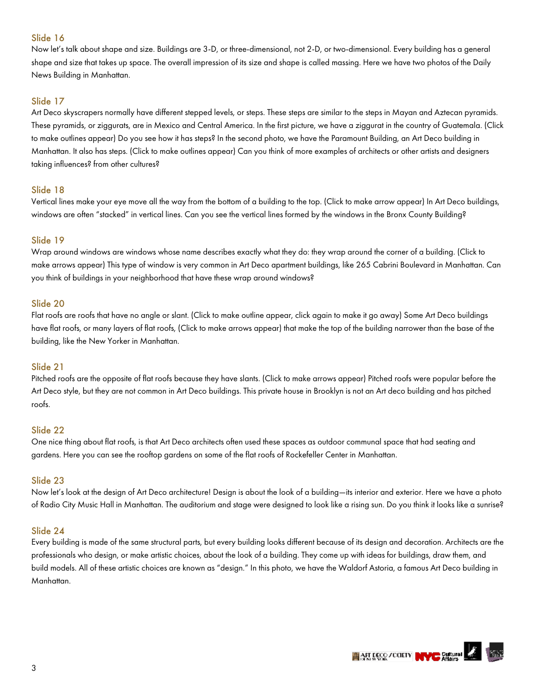Now let's talk about shape and size. Buildings are 3-D, or three-dimensional, not 2-D, or two-dimensional. Every building has a general shape and size that takes up space. The overall impression of its size and shape is called massing. Here we have two photos of the Daily News Building in Manhattan.

# Slide 17

Art Deco skyscrapers normally have different stepped levels, or steps. These steps are similar to the steps in Mayan and Aztecan pyramids. These pyramids, or ziggurats, are in Mexico and Central America. In the first picture, we have a ziggurat in the country of Guatemala. (Click to make outlines appear) Do you see how it has steps? In the second photo, we have the Paramount Building, an Art Deco building in Manhattan. It also has steps. (Click to make outlines appear) Can you think of more examples of architects or other artists and designers taking influences? from other cultures?

### Slide 18

Vertical lines make your eye move all the way from the bottom of a building to the top. (Click to make arrow appear) In Art Deco buildings, windows are often "stacked" in vertical lines. Can you see the vertical lines formed by the windows in the Bronx County Building?

### Slide 19

Wrap around windows are windows whose name describes exactly what they do: they wrap around the corner of a building. (Click to make arrows appear) This type of window is very common in Art Deco apartment buildings, like 265 Cabrini Boulevard in Manhattan. Can you think of buildings in your neighborhood that have these wrap around windows?

### Slide 20

Flat roofs are roofs that have no angle or slant. (Click to make outline appear, click again to make it go away) Some Art Deco buildings have flat roofs, or many layers of flat roofs, (Click to make arrows appear) that make the top of the building narrower than the base of the building, like the New Yorker in Manhattan.

#### Slide 21

Pitched roofs are the opposite of flat roofs because they have slants. (Click to make arrows appear) Pitched roofs were popular before the Art Deco style, but they are not common in Art Deco buildings. This private house in Brooklyn is not an Art deco building and has pitched roofs.

#### Slide 22

One nice thing about flat roofs, is that Art Deco architects often used these spaces as outdoor communal space that had seating and gardens. Here you can see the rooftop gardens on some of the flat roofs of Rockefeller Center in Manhattan.

#### Slide 23

Now let's look at the design of Art Deco architecture! Design is about the look of a building—its interior and exterior. Here we have a photo of Radio City Music Hall in Manhattan. The auditorium and stage were designed to look like a rising sun. Do you think it looks like a sunrise?

#### Slide 24

Every building is made of the same structural parts, but every building looks different because of its design and decoration. Architects are the professionals who design, or make artistic choices, about the look of a building. They come up with ideas for buildings, draw them, and build models. All of these artistic choices are known as "design." In this photo, we have the Waldorf Astoria, a famous Art Deco building in Manhattan.

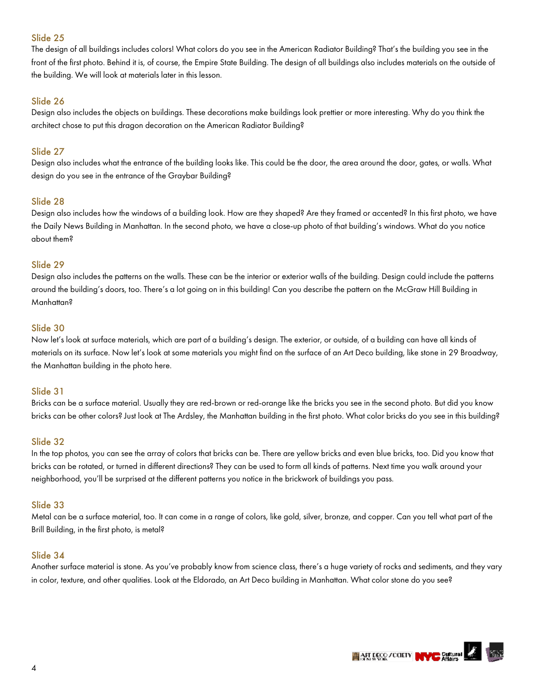The design of all buildings includes colors! What colors do you see in the American Radiator Building? That's the building you see in the front of the first photo. Behind it is, of course, the Empire State Building. The design of all buildings also includes materials on the outside of the building. We will look at materials later in this lesson.

# Slide 26

Design also includes the objects on buildings. These decorations make buildings look prettier or more interesting. Why do you think the architect chose to put this dragon decoration on the American Radiator Building?

# Slide 27

Design also includes what the entrance of the building looks like. This could be the door, the area around the door, gates, or walls. What design do you see in the entrance of the Graybar Building?

### Slide 28

Design also includes how the windows of a building look. How are they shaped? Are they framed or accented? In this first photo, we have the Daily News Building in Manhattan. In the second photo, we have a close-up photo of that building's windows. What do you notice about them?

#### Slide 29

Design also includes the patterns on the walls. These can be the interior or exterior walls of the building. Design could include the patterns around the building's doors, too. There's a lot going on in this building! Can you describe the pattern on the McGraw Hill Building in Manhattan?

# Slide 30

Now let's look at surface materials, which are part of a building's design. The exterior, or outside, of a building can have all kinds of materials on its surface. Now let's look at some materials you might find on the surface of an Art Deco building, like stone in 29 Broadway, the Manhattan building in the photo here.

#### Slide 31

Bricks can be a surface material. Usually they are red-brown or red-orange like the bricks you see in the second photo. But did you know bricks can be other colors? Just look at The Ardsley, the Manhattan building in the first photo. What color bricks do you see in this building?

#### Slide 32

In the top photos, you can see the array of colors that bricks can be. There are yellow bricks and even blue bricks, too. Did you know that bricks can be rotated, or turned in different directions? They can be used to form all kinds of patterns. Next time you walk around your neighborhood, you'll be surprised at the different patterns you notice in the brickwork of buildings you pass.

## Slide 33

Metal can be a surface material, too. It can come in a range of colors, like gold, silver, bronze, and copper. Can you tell what part of the Brill Building, in the first photo, is metal?

#### Slide 34

Another surface material is stone. As you've probably know from science class, there's a huge variety of rocks and sediments, and they vary in color, texture, and other qualities. Look at the Eldorado, an Art Deco building in Manhattan. What color stone do you see?

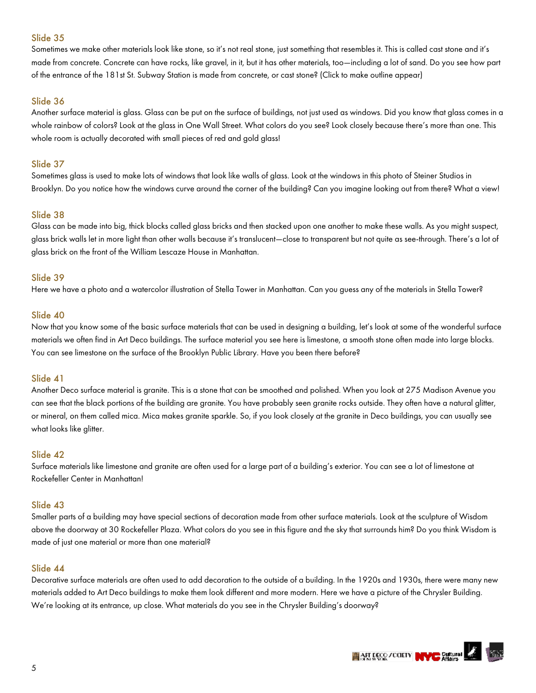Sometimes we make other materials look like stone, so it's not real stone, just something that resembles it. This is called cast stone and it's made from concrete. Concrete can have rocks, like gravel, in it, but it has other materials, too—including a lot of sand. Do you see how part of the entrance of the 181st St. Subway Station is made from concrete, or cast stone? (Click to make outline appear)

### Slide 36

Another surface material is glass. Glass can be put on the surface of buildings, not just used as windows. Did you know that glass comes in a whole rainbow of colors? Look at the glass in One Wall Street. What colors do you see? Look closely because there's more than one. This whole room is actually decorated with small pieces of red and gold glass!

#### Slide 37

Sometimes glass is used to make lots of windows that look like walls of glass. Look at the windows in this photo of Steiner Studios in Brooklyn. Do you notice how the windows curve around the corner of the building? Can you imagine looking out from there? What a view!

#### Slide 38

Glass can be made into big, thick blocks called glass bricks and then stacked upon one another to make these walls. As you might suspect, glass brick walls let in more light than other walls because it's translucent—close to transparent but not quite as see-through. There's a lot of glass brick on the front of the William Lescaze House in Manhattan.

#### Slide 39

Here we have a photo and a watercolor illustration of Stella Tower in Manhattan. Can you guess any of the materials in Stella Tower?

#### Slide 40

Now that you know some of the basic surface materials that can be used in designing a building, let's look at some of the wonderful surface materials we often find in Art Deco buildings. The surface material you see here is limestone, a smooth stone often made into large blocks. You can see limestone on the surface of the Brooklyn Public Library. Have you been there before?

#### Slide 41

Another Deco surface material is granite. This is a stone that can be smoothed and polished. When you look at 275 Madison Avenue you can see that the black portions of the building are granite. You have probably seen granite rocks outside. They often have a natural glitter, or mineral, on them called mica. Mica makes granite sparkle. So, if you look closely at the granite in Deco buildings, you can usually see what looks like glitter.

#### Slide 42

Surface materials like limestone and granite are often used for a large part of a building's exterior. You can see a lot of limestone at Rockefeller Center in Manhattan!

#### Slide 43

Smaller parts of a building may have special sections of decoration made from other surface materials. Look at the sculpture of Wisdom above the doorway at 30 Rockefeller Plaza. What colors do you see in this figure and the sky that surrounds him? Do you think Wisdom is made of just one material or more than one material?

#### Slide 44

Decorative surface materials are often used to add decoration to the outside of a building. In the 1920s and 1930s, there were many new materials added to Art Deco buildings to make them look different and more modern. Here we have a picture of the Chrysler Building. We're looking at its entrance, up close. What materials do you see in the Chrysler Building's doorway?

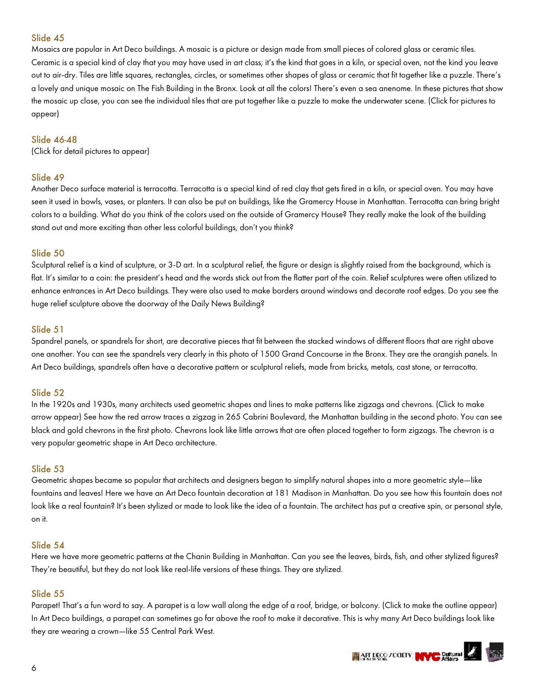Mosaics are popular in Art Deco buildings. A mosaic is a picture or design made from small pieces of colored glass or ceramic tiles. Ceramic is a special kind of clay that you may have used in art class; it's the kind that goes in a kiln, or special oven, not the kind you leave out to air-dry. Tiles are little squares, rectangles, circles, or sometimes other shapes of glass or ceramic that fit together like a puzzle. There's a lovely and unique mosaic on The Fish Building in the Bronx. Look at all the colors! There's even a sea anenome. In these pictures that show the mosaic up close, you can see the individual tiles that are put together like a puzzle to make the underwater scene. (Click for pictures to appear)

#### Slide 46-48

(Click for detail pictures to appear)

#### Slide 49

Another Deco surface material is terracotta. Terracotta is a special kind of red clay that gets fired in a kiln, or special oven. You may have seen it used in bowls, vases, or planters. It can also be put on buildings, like the Gramercy House in Manhattan. Terracotta can bring bright colors to a building. What do you think of the colors used on the outside of Gramercy House? They really make the look of the building stand out and more exciting than other less colorful buildings, don't you think?

# Slide 50

Sculptural relief is a kind of sculpture, or 3-D art. In a sculptural relief, the figure or design is slightly raised from the background, which is flat. It's similar to a coin: the president's head and the words stick out from the flatter part of the coin. Relief sculptures were often utilized to enhance entrances in Art Deco buildings. They were also used to make borders around windows and decorate roof edges. Do you see the huge relief sculpture above the doorway of the Daily News Building?

#### Slide 51

Spandrel panels, or spandrels for short, are decorative pieces that fit between the stacked windows of different floors that are right above one another. You can see the spandrels very clearly in this photo of 1500 Grand Concourse in the Bronx. They are the orangish panels. In Art Deco buildings, spandrels often have a decorative pattern or sculptural reliefs, made from bricks, metals, cast stone, or terracotta.

#### Slide 52

In the 1920s and 1930s, many architects used geometric shapes and lines to make patterns like zigzags and chevrons. (Click to make arrow appear) See how the red arrow traces a zigzag in 265 Cabrini Boulevard, the Manhattan building in the second photo. You can see black and gold chevrons in the first photo. Chevrons look like little arrows that are often placed together to form zigzags. The chevron is a very popular geometric shape in Art Deco architecture.

#### Slide 53

Geometric shapes became so popular that architects and designers began to simplify natural shapes into a more geometric style—like fountains and leaves! Here we have an Art Deco fountain decoration at 181 Madison in Manhattan. Do you see how this fountain does not look like a real fountain? It's been stylized or made to look like the idea of a fountain. The architect has put a creative spin, or personal style, on it.

#### Slide 54

Here we have more geometric patterns at the Chanin Building in Manhattan. Can you see the leaves, birds, fish, and other stylized figures? They're beautiful, but they do not look like real-life versions of these things. They are stylized.

#### Slide 55

Parapet! That's a fun word to say. A parapet is a low wall along the edge of a roof, bridge, or balcony. (Click to make the outline appear) In Art Deco buildings, a parapet can sometimes go far above the roof to make it decorative. This is why many Art Deco buildings look like they are wearing a crown—like 55 Central Park West.